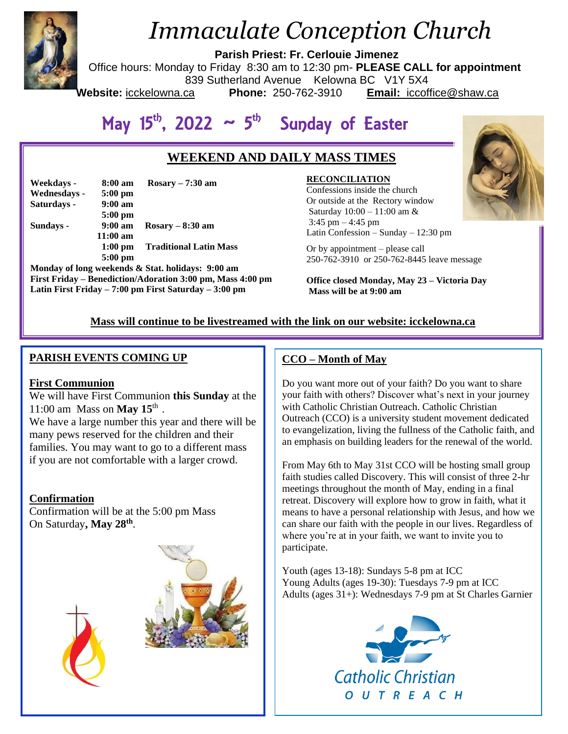

# *Immaculate Conception Church*

**Parish Priest: Fr. Cerlouie Jimenez**

Office hours: Monday to Friday 8:30 am to 12:30 pm- **PLEASE CALL for appointment**

839 Sutherland Avenue Kelowna BC V1Y 5X4

**Website:** icckelowna.ca **Phone:** 250-762-3910 **Email:** iccoffice@shaw.ca

# May  $15^{th}$ , 2022  $\sim 5^{th}$  Sunday of Easter

# **WEEKEND AND DAILY MASS TIMES**

| Weekdays -   | 8:00 am           | Rosary $-7:30$ am             |
|--------------|-------------------|-------------------------------|
| Wednesdays - | $5:00 \text{ pm}$ |                               |
| Saturdays -  | $9:00 \text{ am}$ |                               |
|              | $5:00$ pm         |                               |
| Sundays -    | $9:00 \text{ am}$ | $Rosarv - 8:30$ am            |
|              | $11:00$ am        |                               |
|              | $1:00$ pm         | <b>Traditional Latin Mass</b> |
|              | $5:00$ pm         |                               |

**Monday of long weekends & Stat. holidays: 9:00 am First Friday – Benediction/Adoration 3:00 pm, Mass 4:00 pm Latin First Friday – 7:00 pm First Saturday – 3:00 pm** 

 Latin Confession – Sunday – 12:30 pm **RECONCILIATION** Confessions inside the church Or outside at the Rectory window Saturday 10:00 – 11:00 am & 3:45 pm – 4:45 pm

Or by appointment – please call 250-762-3910 or 250-762-8445 leave message

**Office closed Monday, May 23 – Victoria Day Mass will be at 9:00 am**

# **Mass will continue to be livestreamed with the link on our website: icckelowna.ca**

# **PARISH EVENTS COMING UP**

### **First Communion**

# We will have First Communion **this Sunday** at the 11:00 am Mass on **May 15**th .

We have a large number this year and there will be many pews reserved for the children and their families. You may want to go to a different mass if you are not comfortable with a larger crowd.

### **Confirmation**

Confirmation will be at the 5:00 pm Mass On Saturday**, May 28th** .



# **CCO – Month of May**

Do you want more out of your faith? Do you want to share your faith with others? Discover what's next in your journey with Catholic Christian Outreach. Catholic Christian Outreach (CCO) is a university student movement dedicated to evangelization, living the fullness of the Catholic faith, and an emphasis on building leaders for the renewal of the world.

From May 6th to May 31st CCO will be hosting small group faith studies called Discovery. This will consist of three 2-hr meetings throughout the month of May, ending in a final retreat. Discovery will explore how to grow in faith, what it means to have a personal relationship with Jesus, and how we can share our faith with the people in our lives. Regardless of where you're at in your faith, we want to invite you to participate.

Youth (ages 13-18): Sundays 5-8 pm at ICC Young Adults (ages 19-30): Tuesdays 7-9 pm at ICC Adults (ages 31+): Wednesdays 7-9 pm at St Charles Garnier



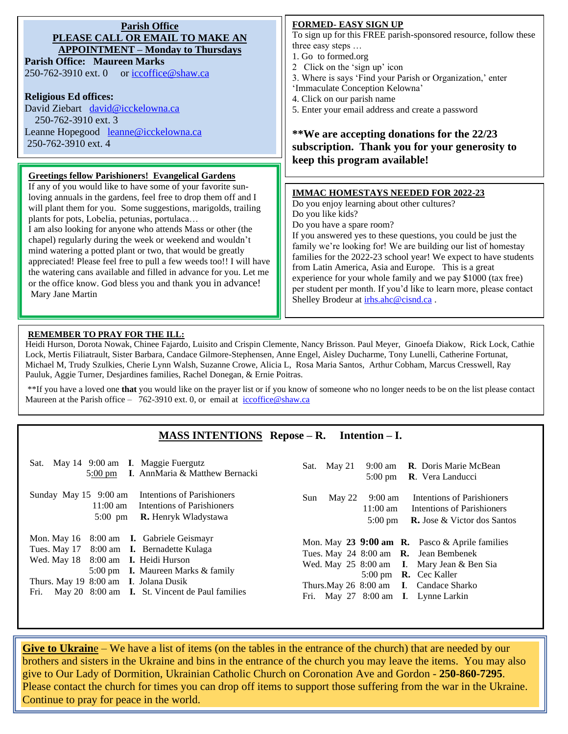| <b>Parish Office</b><br>PLEASE CALL OR EMAIL TO MAKE AN<br><b>APPOINTMENT – Monday to Thursdays</b><br><b>Parish Office: Maureen Marks</b><br>250-762-3910 ext. 0 or iccoffice@shaw.ca<br><b>Religious Ed offices:</b>                                                                                                                                                                                                                                                                                                                                                                                                                                                     | <b>FORMED- EASY SIGN UP</b><br>To sign up for this FREE parish-sponsored resource, follow these<br>three easy steps<br>1. Go to formed.org<br>2 Click on the 'sign up' icon<br>3. Where is says 'Find your Parish or Organization,' enter<br>'Immaculate Conception Kelowna'<br>4. Click on our parish name                                                                                                                                                                                                                                                                               |
|----------------------------------------------------------------------------------------------------------------------------------------------------------------------------------------------------------------------------------------------------------------------------------------------------------------------------------------------------------------------------------------------------------------------------------------------------------------------------------------------------------------------------------------------------------------------------------------------------------------------------------------------------------------------------|-------------------------------------------------------------------------------------------------------------------------------------------------------------------------------------------------------------------------------------------------------------------------------------------------------------------------------------------------------------------------------------------------------------------------------------------------------------------------------------------------------------------------------------------------------------------------------------------|
| David Ziebart david@icckelowna.ca                                                                                                                                                                                                                                                                                                                                                                                                                                                                                                                                                                                                                                          | 5. Enter your email address and create a password                                                                                                                                                                                                                                                                                                                                                                                                                                                                                                                                         |
| 250-762-3910 ext. 3<br>Leanne Hopegood leanne@icckelowna.ca<br>250-762-3910 ext. 4                                                                                                                                                                                                                                                                                                                                                                                                                                                                                                                                                                                         | **We are accepting donations for the 22/23<br>subscription. Thank you for your generosity to<br>keep this program available!                                                                                                                                                                                                                                                                                                                                                                                                                                                              |
| <b>Greetings fellow Parishioners! Evangelical Gardens</b>                                                                                                                                                                                                                                                                                                                                                                                                                                                                                                                                                                                                                  |                                                                                                                                                                                                                                                                                                                                                                                                                                                                                                                                                                                           |
| If any of you would like to have some of your favorite sun-<br>loving annuals in the gardens, feel free to drop them off and I<br>will plant them for you. Some suggestions, marigolds, trailing<br>plants for pots, Lobelia, petunias, portulaca<br>I am also looking for anyone who attends Mass or other (the<br>chapel) regularly during the week or weekend and wouldn't<br>mind watering a potted plant or two, that would be greatly<br>appreciated! Please feel free to pull a few weeds too!! I will have<br>the watering cans available and filled in advance for you. Let me<br>or the office know. God bless you and thank you in advance!<br>Mary Jane Martin | <b>IMMAC HOMESTAYS NEEDED FOR 2022-23</b><br>Do you enjoy learning about other cultures?<br>Do you like kids?<br>Do you have a spare room?<br>If you answered yes to these questions, you could be just the<br>family we're looking for! We are building our list of homestay<br>families for the 2022-23 school year! We expect to have students<br>from Latin America, Asia and Europe. This is a great<br>experience for your whole family and we pay \$1000 (tax free)<br>per student per month. If you'd like to learn more, please contact<br>Shelley Brodeur at irhs.ahc@cisnd.ca. |

#### **REMEMBER TO PRAY FOR THE ILL:**

Heidi Hurson, Dorota Nowak, Chinee Fajardo, Luisito and Crispin Clemente, Nancy Brisson. Paul Meyer, Ginoefa Diakow, Rick Lock, Cathie Lock, Mertis Filiatrault, Sister Barbara, Candace Gilmore-Stephensen, Anne Engel, Aisley Ducharme, Tony Lunelli, Catherine Fortunat, Michael M, Trudy Szulkies, Cherie Lynn Walsh, Suzanne Crowe, Alicia L, Rosa Maria Santos, Arthur Cobham, Marcus Cresswell, Ray Pauluk, Aggie Turner, Desjardines families, Rachel Donegan, & Ernie Poitras.

\*\*If you have a loved one **that** you would like on the prayer list or if you know of someone who no longer needs to be on the list please contact Maureen at the Parish office – 762-3910 ext. 0, or email at iccoffice@shaw.ca

# **MASS INTENTIONS Repose – R. Intention – I.**

| Sat. May 14 9:00 am I. Maggie Fuergutz<br>5:00 pm I. AnnMaria & Matthew Bernacki                                                                                                                                                                                                   | 9:00 am <b>R</b> . Doris Marie McBean<br>Sat. May 21<br>5:00 pm R. Vera Landucci                                                                                                                                                                        |
|------------------------------------------------------------------------------------------------------------------------------------------------------------------------------------------------------------------------------------------------------------------------------------|---------------------------------------------------------------------------------------------------------------------------------------------------------------------------------------------------------------------------------------------------------|
| Intentions of Parishioners<br>Sunday May $15$ 9:00 am<br>11:00 am Intentions of Parishioners<br><b>R.</b> Henryk Wladystawa<br>$5:00 \text{ pm}$                                                                                                                                   | Intentions of Parishioners<br>May 22<br>9:00 am<br>Sun<br>$11:00 \text{ am}$<br>Intentions of Parishioners<br><b>R.</b> Jose & Victor dos Santos<br>$5:00 \text{ pm}$                                                                                   |
| Mon. May 16 8:00 am <b>I.</b> Gabriele Geismayr<br>Tues. May 17 8:00 am I. Bernadette Kulaga<br>Wed. May 18 8:00 am I. Heidi Hurson<br>5:00 pm <b>I.</b> Maureen Marks & family<br>Thurs. May 19 8:00 am I. Jolana Dusik<br>May 20 8:00 am I. St. Vincent de Paul families<br>Fri. | Mon. May 23 9:00 am R. Pasco & Aprile families<br>Tues. May 24 8:00 am R. Jean Bembenek<br>Wed. May 25 8:00 am I. Mary Jean & Ben Sia<br>5:00 pm <b>R.</b> Cec Kaller<br>Thurs. May 26 8:00 am I. Candace Sharko<br>Fri. May 27 8:00 am I. Lynne Larkin |

**Give to Ukraine** – We have a list of items (on the tables in the entrance of the church) that are needed by our brothers and sisters in the Ukraine and bins in the entrance of the church you may leave the items. You may also give to Our Lady of Dormition, Ukrainian Catholic Church on Coronation Ave and Gordon - **250-860-7295**. Please contact the church for times you can drop off items to support those suffering from the war in the Ukraine. Continue to pray for peace in the world.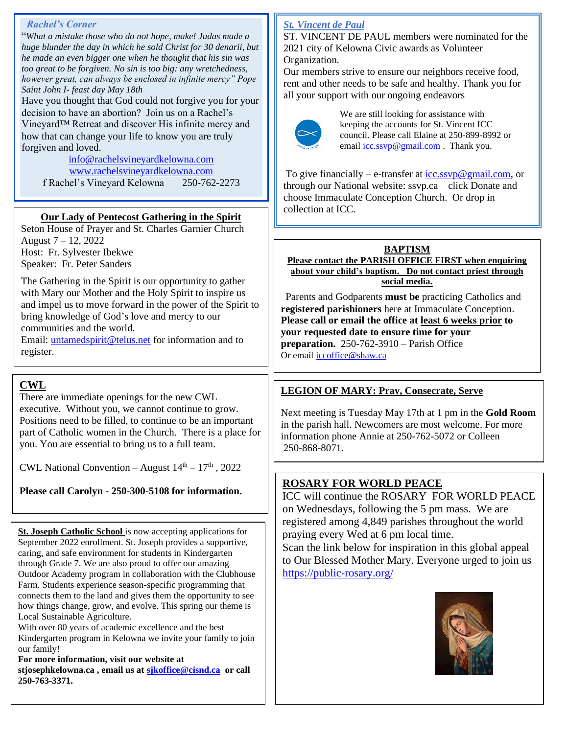#### *Rachel's Corner*

"*What a mistake those who do not hope, make! Judas made a huge blunder the day in which he sold Christ for 30 denarii, but he made an even bigger one when he thought that his sin was too great to be forgiven. No sin is too big: any wretchedness, however great, can always be enclosed in infinite mercy" Pope Saint John I- feast day May 18th*

Have you thought that God could not forgive you for your decision to have an abortion? Join us on a Rachel's Vineyard™ Retreat and discover His infinite mercy and how that can change your life to know you are truly forgiven and loved.

[info@rachelsvineyardkelowna.com](mailto:info@rachelsvineyardkelowna.com) [www.rachelsvineyardkelowna.com](http://www.rachelsvineyardkelowna.com/) f Rachel's Vineyard Kelowna 250-762-2273

## **Our Lady of Pentecost Gathering in the Spirit**

Seton House of Prayer and St. Charles Garnier Church August 7 – 12, 2022 Host: Fr. Sylvester Ibekwe Speaker: Fr. Peter Sanders

The Gathering in the Spirit is our opportunity to gather with Mary our Mother and the Holy Spirit to inspire us and impel us to move forward in the power of the Spirit to bring knowledge of God's love and mercy to our communities and the world.

Email: [untamedspirit@telus.net](mailto:untamedspirit@telus.net) for information and to register.

# **CWL**

There are immediate openings for the new CWL executive. Without you, we cannot continue to grow. Positions need to be filled, to continue to be an important part of Catholic women in the Church. There is a place for you. You are essential to bring us to a full team.

CWL National Convention – August  $14<sup>th</sup> - 17<sup>th</sup>$ , 2022

**Please call Carolyn - 250-300-5108 for information.**

**St. Joseph Catholic School** is now accepting applications for September 2022 enrollment. St. Joseph provides a supportive, caring, and safe environment for students in Kindergarten through Grade 7. We are also proud to offer our amazing Outdoor Academy program in collaboration with the Clubhouse Farm. Students experience season-specific programming that connects them to the land and gives them the opportunity to see how things change, grow, and evolve. This spring our theme is Local Sustainable Agriculture.

With over 80 years of academic excellence and the best Kindergarten program in Kelowna we invite your family to join our family!

**For more information, visit our website at stjosephkelowna.ca , email us at [sjkoffice@cisnd.ca](mailto:sjkoffice@cisnd.ca) or call 250-763-3371.**

# *St. Vincent de Paul*

ST. VINCENT DE PAUL members were nominated for the 2021 city of Kelowna Civic awards as Volunteer Organization.

Our members strive to ensure our neighbors receive food, rent and other needs to be safe and healthy. Thank you for all your support with our ongoing endeavors



We are still looking for assistance with keeping the accounts for St. Vincent ICC council. Please call Elaine at 250-899-8992 or email [icc.ssvp@gmail.com](mailto:icc.ssvp@gmail.com) . Thank you.

To give financially – e-transfer at  $\frac{icc \, \text{ssvp}\omega \text{gmail.com}}{c}$  or through our National website: ssvp.ca click Donate and choose Immaculate Conception Church. Or drop in collection at ICC.

#### **BAPTISM Please contact the PARISH OFFICE FIRST when enquiring about your child's baptism. Do not contact priest through social media.**

 Parents and Godparents **must be** practicing Catholics and **registered parishioners** here at Immaculate Conception. **Please call or email the office at least 6 weeks prior to your requested date to ensure time for your preparation.** 250-762-3910 – Parish Office Or email **iccoffice@shaw.ca** 

# **LEGION OF MARY: Pray, Consecrate, Serve**

Next meeting is Tuesday May 17th at 1 pm in the **Gold Room** in the parish hall. Newcomers are most welcome. For more information phone Annie at 250-762-5072 or Colleen 250-868-8071.

# **ROSARY FOR WORLD PEACE**

ICC will continue the ROSARY FOR WORLD PEACE on Wednesdays, following the 5 pm mass. We are registered among 4,849 parishes throughout the world praying every Wed at 6 pm local time.

Scan the link below for inspiration in this global appeal to Our Blessed Mother Mary. Everyone urged to join us <https://public-rosary.org/>